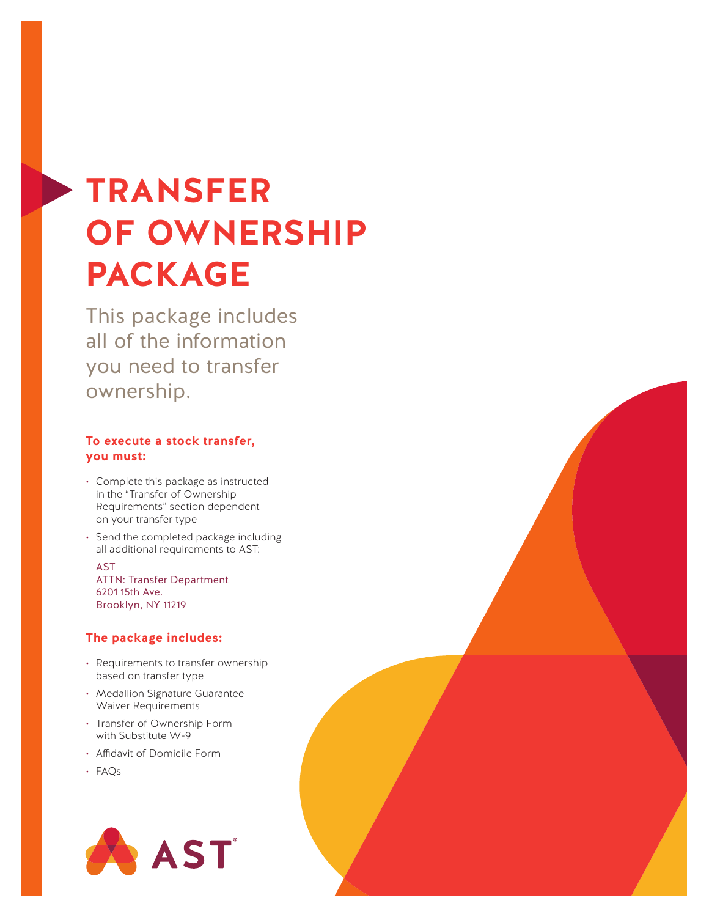# **TRANSFER OF OWNERSHIP PACKAGE**

This package includes all of the information you need to transfer ownership.

## **To execute a stock transfer, you must:**

- Complete this package as instructed in the "Transfer of Ownership Requirements" section dependent on your transfer type
- Send the completed package including all additional requirements to AST:

AST ATTN: Transfer Department 6201 15th Ave. Brooklyn, NY 11219

## **The package includes:**

- Requirements to transfer ownership based on transfer type
- Medallion Signature Guarantee Waiver Requirements
- Transfer of Ownership Form with Substitute W-9
- Affidavit of Domicile Form
- FAQs

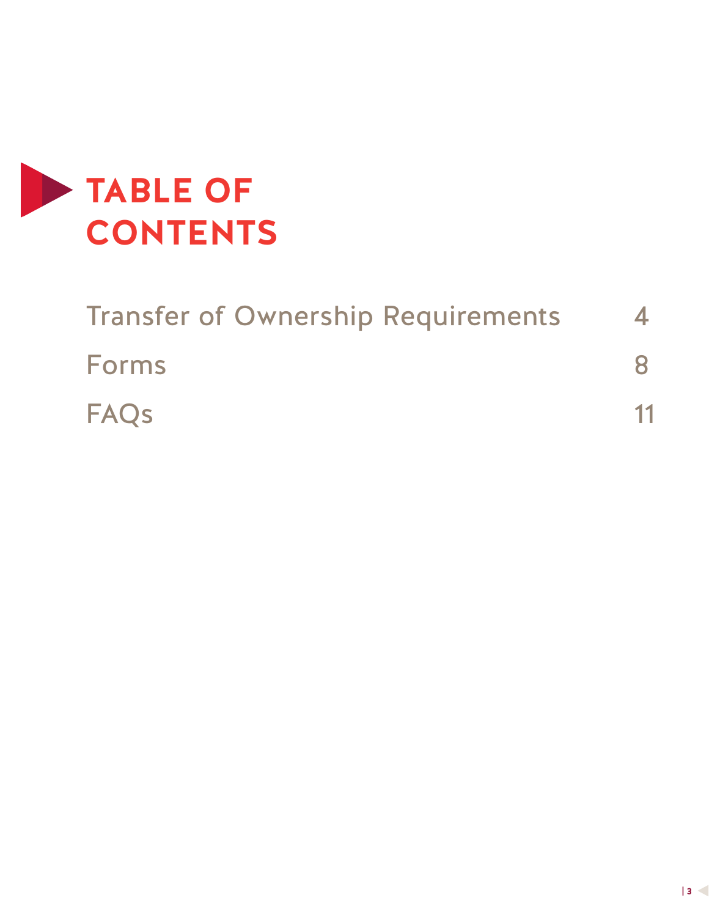

| <b>Transfer of Ownership Requirements</b> |    |
|-------------------------------------------|----|
| <b>Forms</b>                              |    |
| <b>FAQs</b>                               | 11 |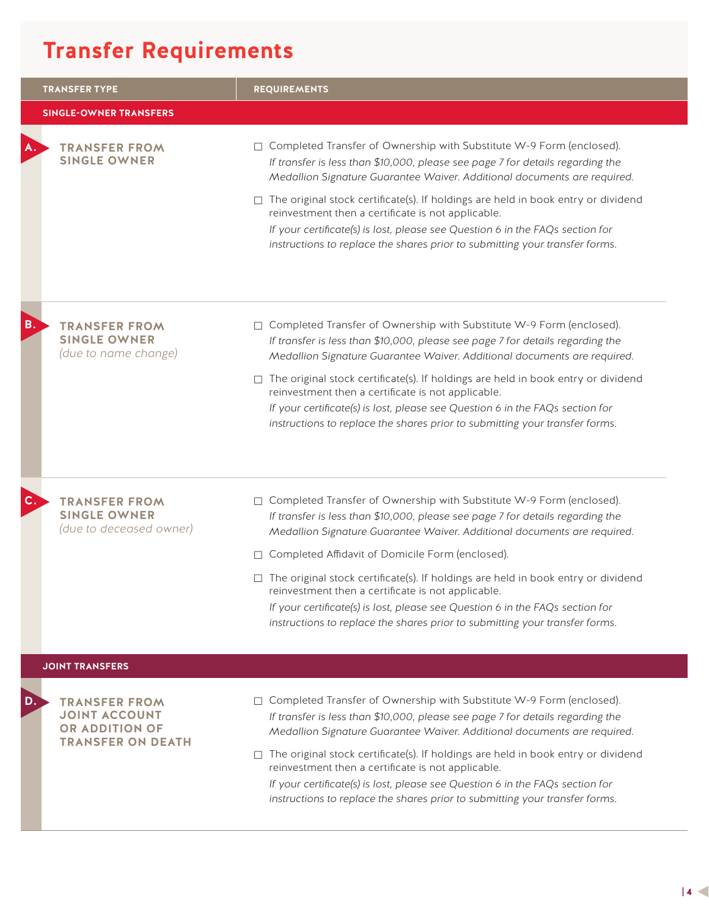# **Transfer Requirements**

|    | <b>TRANSFER TYPE</b>                                                                       | <b>REQUIREMENTS</b>                                                                                                                                                                                                                                                                                                                                                                                                                                                                                                                                    |
|----|--------------------------------------------------------------------------------------------|--------------------------------------------------------------------------------------------------------------------------------------------------------------------------------------------------------------------------------------------------------------------------------------------------------------------------------------------------------------------------------------------------------------------------------------------------------------------------------------------------------------------------------------------------------|
|    | <b>SINGLE-OWNER TRANSFERS</b>                                                              |                                                                                                                                                                                                                                                                                                                                                                                                                                                                                                                                                        |
| А. | <b>TRANSFER FROM</b><br><b>SINGLE OWNER</b>                                                | □ Completed Transfer of Ownership with Substitute W-9 Form (enclosed).<br>If transfer is less than \$10,000, please see page 7 for details regarding the<br>Medallion Signature Guarantee Waiver. Additional documents are required.                                                                                                                                                                                                                                                                                                                   |
|    |                                                                                            | $\Box$ The original stock certificate(s). If holdings are held in book entry or dividend<br>reinvestment then a certificate is not applicable.<br>If your certificate(s) is lost, please see Question 6 in the FAQs section for<br>instructions to replace the shares prior to submitting your transfer forms.                                                                                                                                                                                                                                         |
| В. | <b>TRANSFER FROM</b><br><b>SINGLE OWNER</b><br>(due to name change)                        | □ Completed Transfer of Ownership with Substitute W-9 Form (enclosed).<br>If transfer is less than \$10,000, please see page 7 for details regarding the<br>Medallion Signature Guarantee Waiver. Additional documents are required.                                                                                                                                                                                                                                                                                                                   |
|    |                                                                                            | $\Box$ The original stock certificate(s). If holdings are held in book entry or dividend<br>reinvestment then a certificate is not applicable.<br>If your certificate(s) is lost, please see Question 6 in the FAQs section for<br>instructions to replace the shares prior to submitting your transfer forms.                                                                                                                                                                                                                                         |
|    | <b>TRANSFER FROM</b><br><b>SINGLE OWNER</b><br>(due to deceased owner)                     | □ Completed Transfer of Ownership with Substitute W-9 Form (enclosed).<br>If transfer is less than \$10,000, please see page 7 for details regarding the<br>Medallion Signature Guarantee Waiver. Additional documents are required.<br>□ Completed Affidavit of Domicile Form (enclosed).                                                                                                                                                                                                                                                             |
|    |                                                                                            | $\Box$ The original stock certificate(s). If holdings are held in book entry or dividend<br>reinvestment then a certificate is not applicable.<br>If your certificate(s) is lost, please see Question 6 in the FAQs section for<br>instructions to replace the shares prior to submitting your transfer forms.                                                                                                                                                                                                                                         |
|    | <b>JOINT TRANSFERS</b>                                                                     |                                                                                                                                                                                                                                                                                                                                                                                                                                                                                                                                                        |
| D. | <b>TRANSFER FROM</b><br><b>JOINT ACCOUNT</b><br>OR ADDITION OF<br><b>TRANSFER ON DEATH</b> | □ Completed Transfer of Ownership with Substitute W-9 Form (enclosed).<br>If transfer is less than \$10,000, please see page 7 for details regarding the<br>Medallion Signature Guarantee Waiver. Additional documents are required.<br>$\Box$ The original stock certificate(s). If holdings are held in book entry or dividend<br>reinvestment then a certificate is not applicable.<br>If your certificate(s) is lost, please see Question 6 in the FAQs section for<br>instructions to replace the shares prior to submitting your transfer forms. |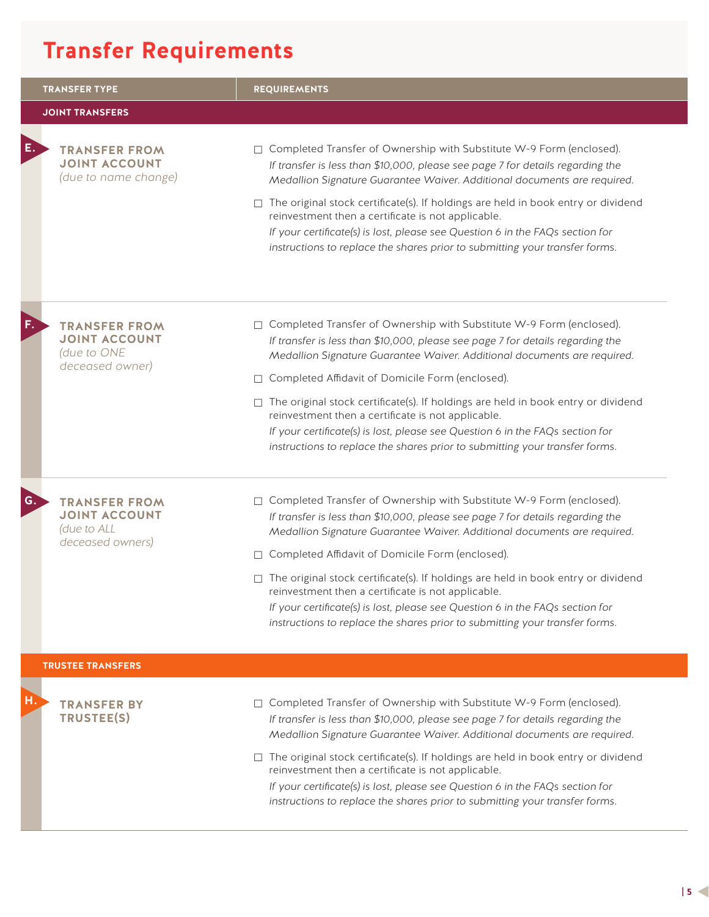# **Transfer Requirements**

|    | <b>TRANSFER TYPE</b>                                                            | <b>REQUIREMENTS</b>                                                                                                                                                                                                                                                                                                              |
|----|---------------------------------------------------------------------------------|----------------------------------------------------------------------------------------------------------------------------------------------------------------------------------------------------------------------------------------------------------------------------------------------------------------------------------|
|    | <b>JOINT TRANSFERS</b>                                                          |                                                                                                                                                                                                                                                                                                                                  |
| Е. | <b>TRANSFER FROM</b><br><b>JOINT ACCOUNT</b><br>(due to name change)            | □ Completed Transfer of Ownership with Substitute W-9 Form (enclosed).<br>If transfer is less than \$10,000, please see page 7 for details regarding the<br>Medallion Signature Guarantee Waiver. Additional documents are required.<br>$\Box$ The original stock certificate(s). If holdings are held in book entry or dividend |
|    |                                                                                 | reinvestment then a certificate is not applicable.<br>If your certificate(s) is lost, please see Question 6 in the FAQs section for<br>instructions to replace the shares prior to submitting your transfer forms.                                                                                                               |
| F. | <b>TRANSFER FROM</b><br><b>JOINT ACCOUNT</b><br>(due to ONE<br>deceased owner)  | □ Completed Transfer of Ownership with Substitute W-9 Form (enclosed).<br>If transfer is less than \$10,000, please see page 7 for details regarding the<br>Medallion Signature Guarantee Waiver. Additional documents are required.                                                                                             |
|    |                                                                                 | □ Completed Affidavit of Domicile Form (enclosed).                                                                                                                                                                                                                                                                               |
|    |                                                                                 | $\Box$ The original stock certificate(s). If holdings are held in book entry or dividend<br>reinvestment then a certificate is not applicable.<br>If your certificate(s) is lost, please see Question 6 in the FAQs section for<br>instructions to replace the shares prior to submitting your transfer forms.                   |
| G. | <b>TRANSFER FROM</b><br><b>JOINT ACCOUNT</b><br>(due to ALL<br>deceased owners) | □ Completed Transfer of Ownership with Substitute W-9 Form (enclosed).<br>If transfer is less than \$10,000, please see page 7 for details regarding the<br>Medallion Signature Guarantee Waiver. Additional documents are required.<br>□ Completed Affidavit of Domicile Form (enclosed).                                       |
|    |                                                                                 | $\Box$ The original stock certificate(s). If holdings are held in book entry or dividend<br>reinvestment then a certificate is not applicable.<br>If your certificate(s) is lost, please see Question 6 in the FAQs section for<br>instructions to replace the shares prior to submitting your transfer forms.                   |
|    | <b>TRUSTEE TRANSFERS</b>                                                        |                                                                                                                                                                                                                                                                                                                                  |
| н. | <b>TRANSFER BY</b><br>TRUSTEE(S)                                                | □ Completed Transfer of Ownership with Substitute W-9 Form (enclosed).<br>If transfer is less than \$10,000, please see page 7 for details regarding the<br>Medallion Signature Guarantee Waiver. Additional documents are required.                                                                                             |
|    |                                                                                 | $\Box$ The original stock certificate(s). If holdings are held in book entry or dividend<br>reinvestment then a certificate is not applicable.<br>If your certificate(s) is lost, please see Question 6 in the FAQs section for<br>instructions to replace the shares prior to submitting your transfer forms.                   |
|    |                                                                                 |                                                                                                                                                                                                                                                                                                                                  |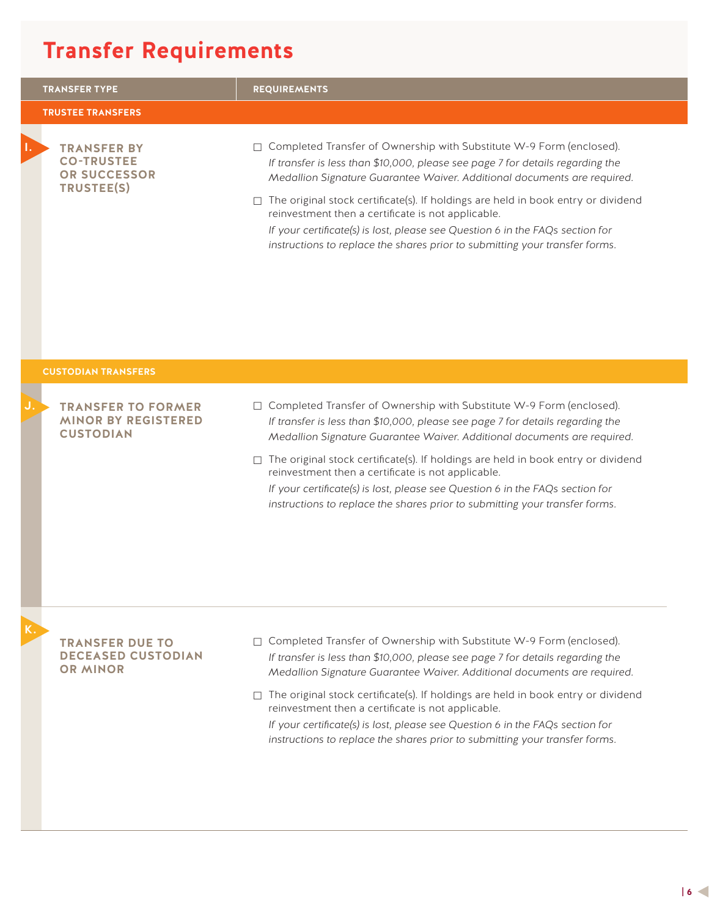# **Transfer Requirements**

|    | <b>TRANSFER TYPE</b>                                                         | <b>REQUIREMENTS</b>                                                                                                                                                                                                                                                                                                                                                                                                                                                                                                                                    |
|----|------------------------------------------------------------------------------|--------------------------------------------------------------------------------------------------------------------------------------------------------------------------------------------------------------------------------------------------------------------------------------------------------------------------------------------------------------------------------------------------------------------------------------------------------------------------------------------------------------------------------------------------------|
|    | <b>TRUSTEE TRANSFERS</b>                                                     |                                                                                                                                                                                                                                                                                                                                                                                                                                                                                                                                                        |
| п. | <b>TRANSFER BY</b><br><b>CO-TRUSTEE</b><br><b>OR SUCCESSOR</b><br>TRUSTEE(S) | □ Completed Transfer of Ownership with Substitute W-9 Form (enclosed).<br>If transfer is less than \$10,000, please see page 7 for details regarding the<br>Medallion Signature Guarantee Waiver. Additional documents are required.<br>$\Box$ The original stock certificate(s). If holdings are held in book entry or dividend<br>reinvestment then a certificate is not applicable.<br>If your certificate(s) is lost, please see Question 6 in the FAQs section for<br>instructions to replace the shares prior to submitting your transfer forms. |
|    | <b>CUSTODIAN TRANSFERS</b>                                                   |                                                                                                                                                                                                                                                                                                                                                                                                                                                                                                                                                        |
|    | <b>TRANSFER TO FORMER</b><br><b>MINOR BY REGISTERED</b><br><b>CUSTODIAN</b>  | □ Completed Transfer of Ownership with Substitute W-9 Form (enclosed).<br>If transfer is less than \$10,000, please see page 7 for details regarding the<br>Medallion Signature Guarantee Waiver. Additional documents are required.<br>$\Box$ The original stock certificate(s). If holdings are held in book entry or dividend<br>reinvestment then a certificate is not applicable.<br>If your certificate(s) is lost, please see Question 6 in the FAQs section for<br>instructions to replace the shares prior to submitting your transfer forms. |
|    | <b>TRANSFER DUE TO</b><br><b>DECEASED CUSTODIAN</b><br><b>OR MINOR</b>       | □ Completed Transfer of Ownership with Substitute W-9 Form (enclosed).<br>If transfer is less than \$10,000, please see page 7 for details regarding the<br>Medallion Signature Guarantee Waiver. Additional documents are required.<br>$\Box$ The original stock certificate(s). If holdings are held in book entry or dividend<br>reinvestment then a certificate is not applicable.<br>If your certificate(s) is lost, please see Question 6 in the FAQs section for<br>instructions to replace the shares prior to submitting your transfer forms. |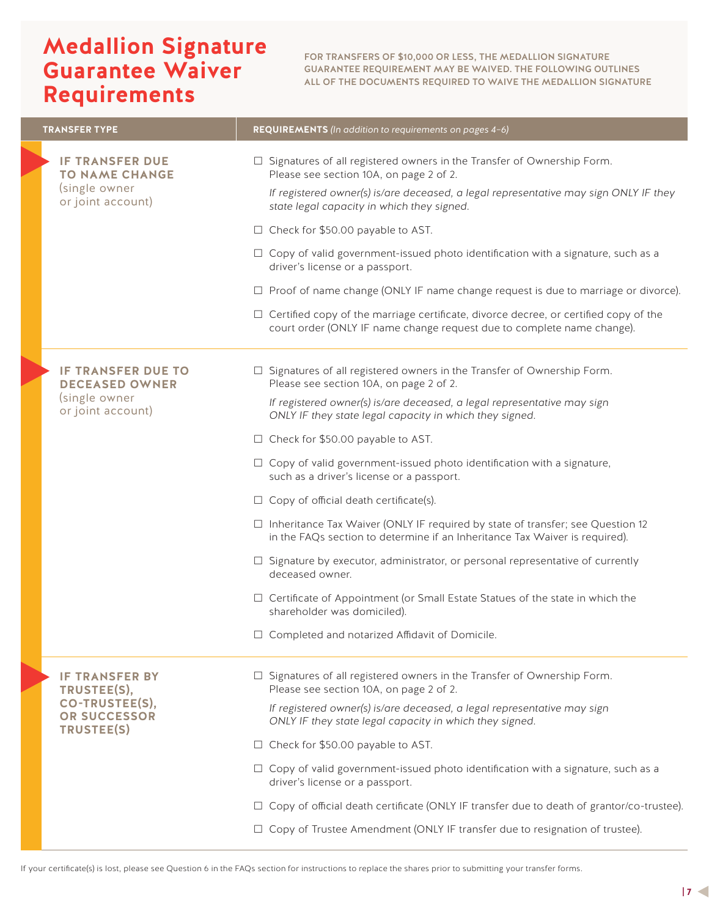## **Medallion Signature Guarantee Waiver Requirements**

FOR TRANSFERS OF \$10,000 OR LESS, THE MEDALLION SIGNATURE GUARANTEE REQUIREMENT MAY BE WAIVED. THE FOLLOWING OUTLINES ALL OF THE DOCUMENTS REQUIRED TO WAIVE THE MEDALLION SIGNATURE

| <b>TRANSFER TYPE</b>                                                                  | REQUIREMENTS (In addition to requirements on pages 4-6)                                                                                                                                                                                                                                                    |
|---------------------------------------------------------------------------------------|------------------------------------------------------------------------------------------------------------------------------------------------------------------------------------------------------------------------------------------------------------------------------------------------------------|
| <b>IF TRANSFER DUE</b><br><b>TO NAME CHANGE</b><br>(single owner<br>or joint account) | $\Box$ Signatures of all registered owners in the Transfer of Ownership Form.<br>Please see section 10A, on page 2 of 2.<br>If registered owner(s) is/are deceased, a legal representative may sign ONLY IF they<br>state legal capacity in which they signed.<br>$\Box$ Check for \$50.00 payable to AST. |
|                                                                                       | $\Box$ Copy of valid government-issued photo identification with a signature, such as a<br>driver's license or a passport.                                                                                                                                                                                 |
|                                                                                       | $\Box$ Proof of name change (ONLY IF name change request is due to marriage or divorce).                                                                                                                                                                                                                   |
|                                                                                       | $\Box$ Certified copy of the marriage certificate, divorce decree, or certified copy of the<br>court order (ONLY IF name change request due to complete name change).                                                                                                                                      |
| <b>IF TRANSFER DUE TO</b><br><b>DECEASED OWNER</b>                                    | □ Signatures of all registered owners in the Transfer of Ownership Form.<br>Please see section 10A, on page 2 of 2.                                                                                                                                                                                        |
| (single owner<br>or joint account)                                                    | If registered owner(s) is/are deceased, a legal representative may sign<br>ONLY IF they state legal capacity in which they signed.                                                                                                                                                                         |
|                                                                                       | $\Box$ Check for \$50.00 payable to AST.                                                                                                                                                                                                                                                                   |
|                                                                                       | $\Box$ Copy of valid government-issued photo identification with a signature,<br>such as a driver's license or a passport.                                                                                                                                                                                 |
|                                                                                       | $\Box$ Copy of official death certificate(s).                                                                                                                                                                                                                                                              |
|                                                                                       | □ Inheritance Tax Waiver (ONLY IF required by state of transfer; see Question 12<br>in the FAQs section to determine if an Inheritance Tax Waiver is required).                                                                                                                                            |
|                                                                                       | $\Box$ Signature by executor, administrator, or personal representative of currently<br>deceased owner.                                                                                                                                                                                                    |
|                                                                                       | □ Certificate of Appointment (or Small Estate Statues of the state in which the<br>shareholder was domiciled).                                                                                                                                                                                             |
|                                                                                       | $\Box$ Completed and notarized Affidavit of Domicile.                                                                                                                                                                                                                                                      |
| <b>IF TRANSFER BY</b><br>TRUSTEE(S),                                                  | $\Box$ Signatures of all registered owners in the Transfer of Ownership Form.<br>Please see section 10A, on page 2 of 2.                                                                                                                                                                                   |
| CO-TRUSTEE(S),<br><b>OR SUCCESSOR</b><br>TRUSTEE(S)                                   | If registered owner(s) is/are deceased, a legal representative may sign<br>ONLY IF they state legal capacity in which they signed.                                                                                                                                                                         |
|                                                                                       | □ Check for \$50.00 payable to AST.                                                                                                                                                                                                                                                                        |
|                                                                                       | $\Box$ Copy of valid government-issued photo identification with a signature, such as a<br>driver's license or a passport.                                                                                                                                                                                 |
|                                                                                       | $\Box$ Copy of official death certificate (ONLY IF transfer due to death of grantor/co-trustee).                                                                                                                                                                                                           |
|                                                                                       | $\Box$ Copy of Trustee Amendment (ONLY IF transfer due to resignation of trustee).                                                                                                                                                                                                                         |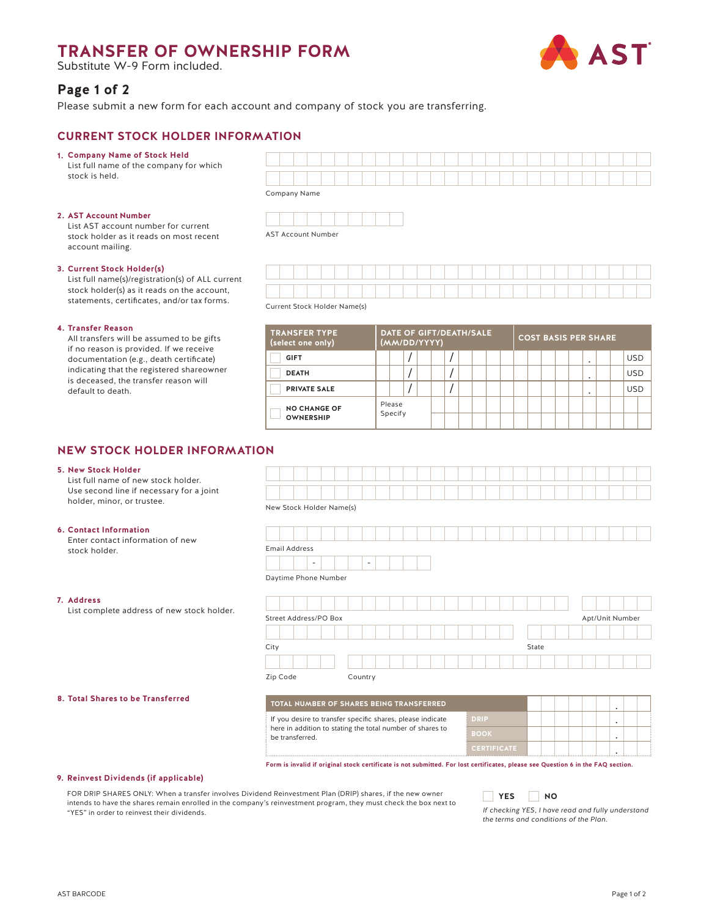## **TRANSFER OF OWNERSHIP FORM**

Substitute W-9 Form included.

# **AST**

**Page 1 of 2**

Please submit a new form for each account and company of stock you are transferring.

## **CURRENT STOCK HOLDER INFORMATION**

- **Company Name of Stock Held 1.**
- List full name of the company for which stock is held.

## **AST Account Number 2.**

List AST account number for current stock holder as it reads on most recent account mailing.

## **Current Stock Holder(s) 3.**

List full name(s)/registration(s) of ALL current stock holder(s) as it reads on the account, statements, certificates, and/or tax forms.

### **4. Transfer Reason**

All transfers will be assumed to be gifts if no reason is provided. If we receive documentation (e.g., death certificate) indicating that the registered shareowner is deceased, the transfer reason will default to death.

| Company Name |  |  |  |  |  |  |  |  |  |  |  |  |  |
|--------------|--|--|--|--|--|--|--|--|--|--|--|--|--|



AST Account Number



Current Stock Holder Name(s)

| <b>TRANSFER TYPE</b><br>(select one only) | DATE OF GIFT/DEATH/SALE<br>(MM/DD/YYYY) |         |  |  |  |  |  |  |  | <b>COST BASIS PER SHARE</b> |  |  |  |  |  |                          |  |            |  |
|-------------------------------------------|-----------------------------------------|---------|--|--|--|--|--|--|--|-----------------------------|--|--|--|--|--|--------------------------|--|------------|--|
| <b>GIFT</b>                               |                                         |         |  |  |  |  |  |  |  |                             |  |  |  |  |  | $\overline{\phantom{a}}$ |  | <b>USD</b> |  |
| <b>DEATH</b>                              |                                         |         |  |  |  |  |  |  |  |                             |  |  |  |  |  | $\bullet$                |  | <b>USD</b> |  |
| <b>PRIVATE SALE</b>                       |                                         |         |  |  |  |  |  |  |  |                             |  |  |  |  |  | ٠                        |  | <b>USD</b> |  |
| <b>NO CHANGE OF</b>                       |                                         | Please  |  |  |  |  |  |  |  |                             |  |  |  |  |  |                          |  |            |  |
| <b>OWNERSHIP</b>                          |                                         | Specify |  |  |  |  |  |  |  |                             |  |  |  |  |  |                          |  |            |  |

## **NEW STOCK HOLDER INFORMATION**

### **New Stock Holder 5.**

List full name of new stock holder. Use second line if necessary for a  $j_1$ holder, minor, or trustee.

### **Contact Information 6.**

Enter contact information of new stock holder.

### **Address 7.**

List complete address of new stock

**Total Shares to be Transferred 8.** 

| oint    |                                                                                                                                  |                    |       |                      |  |  |  |  |  |  |  |  |  |  |
|---------|----------------------------------------------------------------------------------------------------------------------------------|--------------------|-------|----------------------|--|--|--|--|--|--|--|--|--|--|
|         | New Stock Holder Name(s)                                                                                                         |                    |       |                      |  |  |  |  |  |  |  |  |  |  |
|         |                                                                                                                                  |                    |       |                      |  |  |  |  |  |  |  |  |  |  |
|         | <b>Email Address</b>                                                                                                             |                    |       |                      |  |  |  |  |  |  |  |  |  |  |
|         | ٠<br>$\overline{\phantom{a}}$                                                                                                    |                    |       |                      |  |  |  |  |  |  |  |  |  |  |
|         | Daytime Phone Number                                                                                                             |                    |       |                      |  |  |  |  |  |  |  |  |  |  |
| holder. |                                                                                                                                  |                    |       |                      |  |  |  |  |  |  |  |  |  |  |
|         | Street Address/PO Box<br>Apt/Unit Number                                                                                         |                    |       |                      |  |  |  |  |  |  |  |  |  |  |
|         |                                                                                                                                  |                    |       |                      |  |  |  |  |  |  |  |  |  |  |
|         | City                                                                                                                             |                    | State |                      |  |  |  |  |  |  |  |  |  |  |
|         |                                                                                                                                  |                    |       |                      |  |  |  |  |  |  |  |  |  |  |
|         | Zip Code<br>Country                                                                                                              |                    |       |                      |  |  |  |  |  |  |  |  |  |  |
|         |                                                                                                                                  |                    |       |                      |  |  |  |  |  |  |  |  |  |  |
|         | TOTAL NUMBER OF SHARES BEING TRANSFERRED                                                                                         |                    |       | $\ddot{\phantom{0}}$ |  |  |  |  |  |  |  |  |  |  |
|         | If you desire to transfer specific shares, please indicate                                                                       | <b>DRIP</b>        |       | ٠                    |  |  |  |  |  |  |  |  |  |  |
|         | here in addition to stating the total number of shares to<br>be transferred.                                                     | <b>BOOK</b>        |       | ٠                    |  |  |  |  |  |  |  |  |  |  |
|         |                                                                                                                                  | <b>CERTIFICATE</b> |       | ٠                    |  |  |  |  |  |  |  |  |  |  |
|         | Form is invalid if original stock certificate is not submitted. For lost certificates, please see Question 6 in the FAQ section. |                    |       |                      |  |  |  |  |  |  |  |  |  |  |

#### **Reinvest Dividends (if applicable) 9.**

FOR DRIP SHARES ONLY: When a transfer involves Dividend Reinvestment Plan (DRIP) shares, if the new owner intends to have the shares remain enrolled in the company's reinvestment program, they must check the box next to "YES" in order to reinvest their dividends.



*If checking YES, I have read and fully understand the terms and conditions of the Plan.*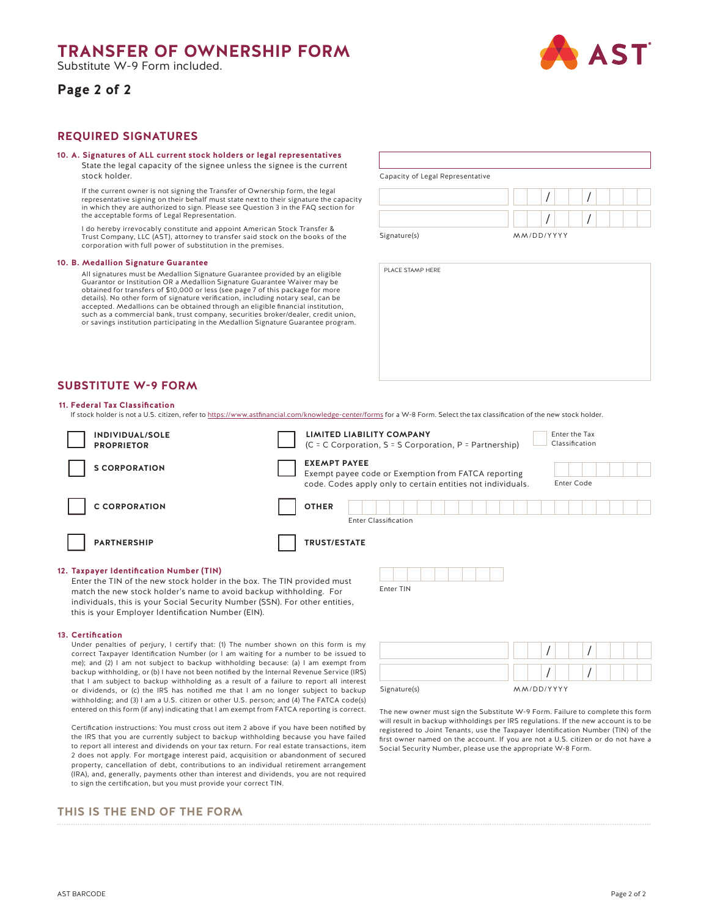## **TRANSFER OF OWNERSHIP FORM**

Substitute W-9 Form included.

## **Page 2 of 2**



## **REQUIRED SIGNATURES**

#### **10. A. Signatures of ALL current stock holders or legal representatives**

State the legal capacity of the signee unless the signee is the current stock holder.

If the current owner is not signing the Transfer of Ownership form, the legal representative signing on their behalf must state next to their signature the capacity in which they are authorized to sign. Please see Question 3 in the FAQ section for the acceptable forms of Legal Representation.

I do hereby irrevocably constitute and appoint American Stock Transfer & Trust Company, LLC (AST), attorney to transfer said stock on the books of the corporation with full power of substitution in the premises.

#### **10. B. Medallion Signature Guarantee**

All signatures must be Medallion Signature Guarantee provided by an eligible Guarantor or Institution OR a Medallion Signature Guarantee Waiver may be obtained for transfers of \$10,000 or less (see page 7 of this package for more details). No other form of signature verification, including notary seal, can be accepted. Medallions can be obtained through an eligible financial institution, such as a commercial bank, trust company, securities broker/dealer, credit union, or savings institution participating in the Medallion Signature Guarantee program.

| Capacity of Legal Representative |            |  |  |  |
|----------------------------------|------------|--|--|--|
|                                  |            |  |  |  |
|                                  |            |  |  |  |
| Signature(s)                     | MM/DD/YYYY |  |  |  |

PLACE STAMP HERE



### **Federal Tax Classification 11.**

If stock holder is not a U.S. citizen, refer to https://www.astfinancial.com/knowledge-center/forms for a W-8 Form. Select the tax classification of the new stock holder.

| INDIVIDUAL/SOLE<br><b>PROPRIETOR</b>     |                                             | <b>LIMITED LIABILITY COMPANY</b><br>(C = C Corporation, S = S Corporation, P = Partnership)                        | Enter the Tax<br>Classification |
|------------------------------------------|---------------------------------------------|--------------------------------------------------------------------------------------------------------------------|---------------------------------|
| <b>S CORPORATION</b>                     | <b>EXEMPT PAYEE</b>                         | Exempt payee code or Exemption from FATCA reporting<br>code. Codes apply only to certain entities not individuals. | <b>Enter Code</b>               |
| <b>C CORPORATION</b>                     | <b>OTHER</b><br><b>Enter Classification</b> |                                                                                                                    |                                 |
| <b>PARTNERSHIP</b>                       | <b>TRUST/ESTATE</b>                         |                                                                                                                    |                                 |
| 12. Taxpayer Identification Number (TIN) |                                             |                                                                                                                    |                                 |

Enter TIN

#### **Taxpayer Identification Number (TIN) 12.**

Enter the TIN of the new stock holder in the box. The TIN provided must match the new stock holder's name to avoid backup withholding. For individuals, this is your Social Security Number (SSN). For other entities, this is your Employer Identification Number (EIN).

#### **Certification 13.**

Under penalties of perjury, I certify that: (1) The number shown on this form is my correct Taxpayer Identification Number (or I am waiting for a number to be issued to me); and (2) I am not subject to backup withholding because: (a) I am exempt from backup withholding, or (b) I have not been notified by the Internal Revenue Service (IRS) that I am subject to backup withholding as a result of a failure to report all interest or dividends, or (c) the IRS has notified me that I am no longer subject to backup withholding; and (3) I am a U.S. citizen or other U.S. person; and (4) The FATCA code(s) entered on this form (if any) indicating that I am exempt from FATCA reporting is correct.

Certification instructions: You must cross out item 2 above if you have been notified by the IRS that you are currently subject to backup withholding because you have failed to report all interest and dividends on your tax return. For real estate transactions, item 2 does not apply. For mortgage interest paid, acquisition or abandonment of secured property, cancellation of debt, contributions to an individual retirement arrangement (IRA), and, generally, payments other than interest and dividends, you are not required to sign the certification, but you must provide your correct TIN.

## **THIS IS THE END OF THE FORM**

| Signature(s) | MM/DD/YYYY |  |  |  |  |
|--------------|------------|--|--|--|--|

The new owner must sign the Substitute W-9 Form. Failure to complete this form will result in backup withholdings per IRS regulations. If the new account is to be registered to Joint Tenants, use the Taxpayer Identification Number (TIN) of the first owner named on the account. If you are not a U.S. citizen or do not have a Social Security Number, please use the appropriate W-8 Form.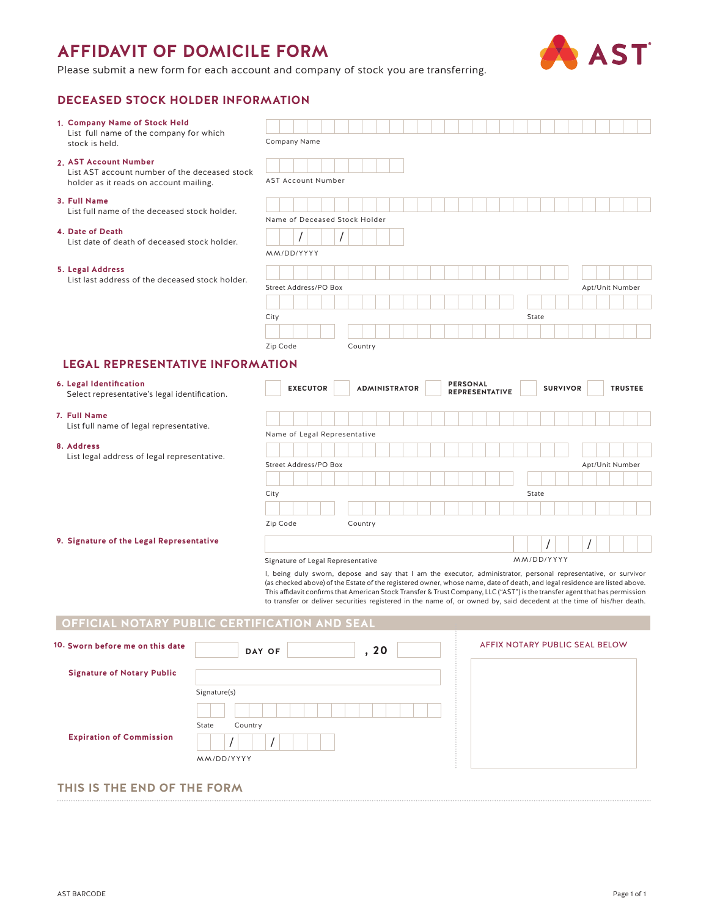## **AFFIDAVIT OF DOMICILE FORM**



Please submit a new form for each account and company of stock you are transferring.

## **DECEASED STOCK HOLDER INFORMATION**

| 1. Company Name of Stock Held                                                           |                                                                                                                                                                                                                                                           |                                   |
|-----------------------------------------------------------------------------------------|-----------------------------------------------------------------------------------------------------------------------------------------------------------------------------------------------------------------------------------------------------------|-----------------------------------|
| List full name of the company for which<br>stock is held.                               | Company Name                                                                                                                                                                                                                                              |                                   |
| 2. AST Account Number                                                                   |                                                                                                                                                                                                                                                           |                                   |
| List AST account number of the deceased stock<br>holder as it reads on account mailing. | <b>AST Account Number</b>                                                                                                                                                                                                                                 |                                   |
|                                                                                         |                                                                                                                                                                                                                                                           |                                   |
| 3. Full Name<br>List full name of the deceased stock holder.                            |                                                                                                                                                                                                                                                           |                                   |
|                                                                                         | Name of Deceased Stock Holder                                                                                                                                                                                                                             |                                   |
| 4. Date of Death<br>List date of death of deceased stock holder.                        |                                                                                                                                                                                                                                                           |                                   |
|                                                                                         | MM/DD/YYYY                                                                                                                                                                                                                                                |                                   |
| 5. Legal Address                                                                        |                                                                                                                                                                                                                                                           |                                   |
| List last address of the deceased stock holder.                                         | Street Address/PO Box                                                                                                                                                                                                                                     | Apt/Unit Number                   |
|                                                                                         |                                                                                                                                                                                                                                                           |                                   |
|                                                                                         | City                                                                                                                                                                                                                                                      | State                             |
|                                                                                         |                                                                                                                                                                                                                                                           |                                   |
|                                                                                         | Zip Code<br>Country                                                                                                                                                                                                                                       |                                   |
| <b>LEGAL REPRESENTATIVE INFORMATION</b>                                                 |                                                                                                                                                                                                                                                           |                                   |
| 6. Legal Identification                                                                 | <b>PERSONAL</b><br><b>EXECUTOR</b><br><b>ADMINISTRATOR</b>                                                                                                                                                                                                | <b>SURVIVOR</b><br><b>TRUSTEE</b> |
| Select representative's legal identification.                                           | REPRESENTATIVE                                                                                                                                                                                                                                            |                                   |
| 7. Full Name                                                                            |                                                                                                                                                                                                                                                           |                                   |
| List full name of legal representative.                                                 | Name of Legal Representative                                                                                                                                                                                                                              |                                   |
| 8. Address                                                                              |                                                                                                                                                                                                                                                           |                                   |
| List legal address of legal representative.                                             | Street Address/PO Box                                                                                                                                                                                                                                     | Apt/Unit Number                   |
|                                                                                         |                                                                                                                                                                                                                                                           |                                   |
|                                                                                         | City                                                                                                                                                                                                                                                      | State                             |
|                                                                                         |                                                                                                                                                                                                                                                           |                                   |
|                                                                                         | Zip Code<br>Country                                                                                                                                                                                                                                       |                                   |
| 9. Signature of the Legal Representative                                                |                                                                                                                                                                                                                                                           |                                   |
|                                                                                         | Signature of Legal Representative                                                                                                                                                                                                                         | MM/DD/YYYY                        |
|                                                                                         | I, being duly sworn, depose and say that I am the executor, administrator, personal representative, or survivor                                                                                                                                           |                                   |
|                                                                                         | (as checked above) of the Estate of the registered owner, whose name, date of death, and legal residence are listed above.<br>This affidavit confirms that American Stock Transfer & Trust Company, LLC ("AST") is the transfer agent that has permission |                                   |
|                                                                                         | to transfer or deliver securities registered in the name of, or owned by, said decedent at the time of his/her death.                                                                                                                                     |                                   |
| OFFICIAL NOTARY PUBLIC CERTIFICATION AND SEAL                                           |                                                                                                                                                                                                                                                           |                                   |
| 10. Sworn before me on this date                                                        |                                                                                                                                                                                                                                                           |                                   |
|                                                                                         |                                                                                                                                                                                                                                                           | AFFIX NOTARY PUBLIC SEAL BELOW    |
|                                                                                         | ,20<br>DAY OF                                                                                                                                                                                                                                             |                                   |
| <b>Signature of Notary Public</b>                                                       |                                                                                                                                                                                                                                                           |                                   |
| Signature(s)                                                                            |                                                                                                                                                                                                                                                           |                                   |
|                                                                                         |                                                                                                                                                                                                                                                           |                                   |
| State<br>Country                                                                        |                                                                                                                                                                                                                                                           |                                   |
| <b>Expiration of Commission</b>                                                         |                                                                                                                                                                                                                                                           |                                   |
| MM/DD/YYYY                                                                              |                                                                                                                                                                                                                                                           |                                   |

## **THIS IS THE END OF THE FORM**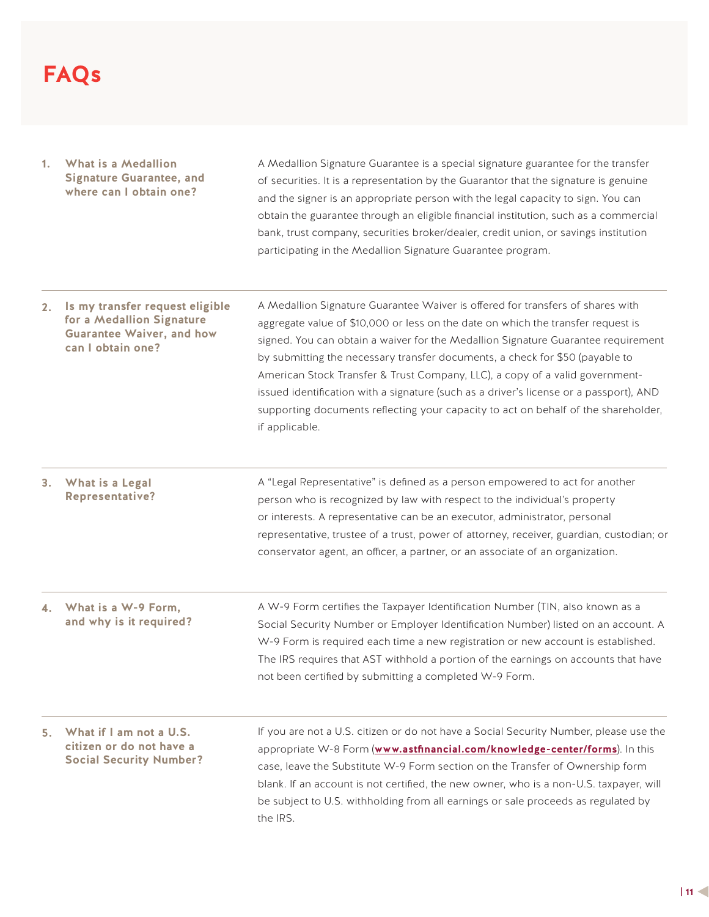# **FAQs**

- **What is a Medallion 1. Signature Guarantee, and where can I obtain one?** A Medallion Signature Guarantee is a special signature guarantee for the transfer of securities. It is a representation by the Guarantor that the signature is genuine and the signer is an appropriate person with the legal capacity to sign. You can obtain the guarantee through an eligible financial institution, such as a commercial bank, trust company, securities broker/dealer, credit union, or savings institution participating in the Medallion Signature Guarantee program.
- **Is my transfer request eligible 2. for a Medallion Signature Guarantee Waiver, and how can I obtain one?** A Medallion Signature Guarantee Waiver is offered for transfers of shares with aggregate value of \$10,000 or less on the date on which the transfer request is signed. You can obtain a waiver for the Medallion Signature Guarantee requirement by submitting the necessary transfer documents, a check for \$50 (payable to American Stock Transfer & Trust Company, LLC), a copy of a valid governmentissued identification with a signature (such as a driver's license or a passport), AND supporting documents reflecting your capacity to act on behalf of the shareholder, if applicable.
- **What is a Legal 3. Representative?** A "Legal Representative" is defined as a person empowered to act for another person who is recognized by law with respect to the individual's property or interests. A representative can be an executor, administrator, personal representative, trustee of a trust, power of attorney, receiver, guardian, custodian; or conservator agent, an officer, a partner, or an associate of an organization.
- **What is a W-9 Form, and why is it required?** A W-9 Form certifies the Taxpayer Identification Number (TIN, also known as a Social Security Number or Employer Identification Number) listed on an account. A W-9 Form is required each time a new registration or new account is established. The IRS requires that AST withhold a portion of the earnings on accounts that have not been certified by submitting a completed W-9 Form. **4.**
- **What if I am not a U.S. 5. citizen or do not have a Social Security Number?** If you are not a U.S. citizen or do not have a Social Security Number, please use the appropriate W-8 Form (**www.astfinancial.com/knowledge-center/forms**). In this case, leave the Substitute W-9 Form section on the Transfer of Ownership form blank. If an account is not certified, the new owner, who is a non-U.S. taxpayer, will be subject to U.S. withholding from all earnings or sale proceeds as regulated by the IRS.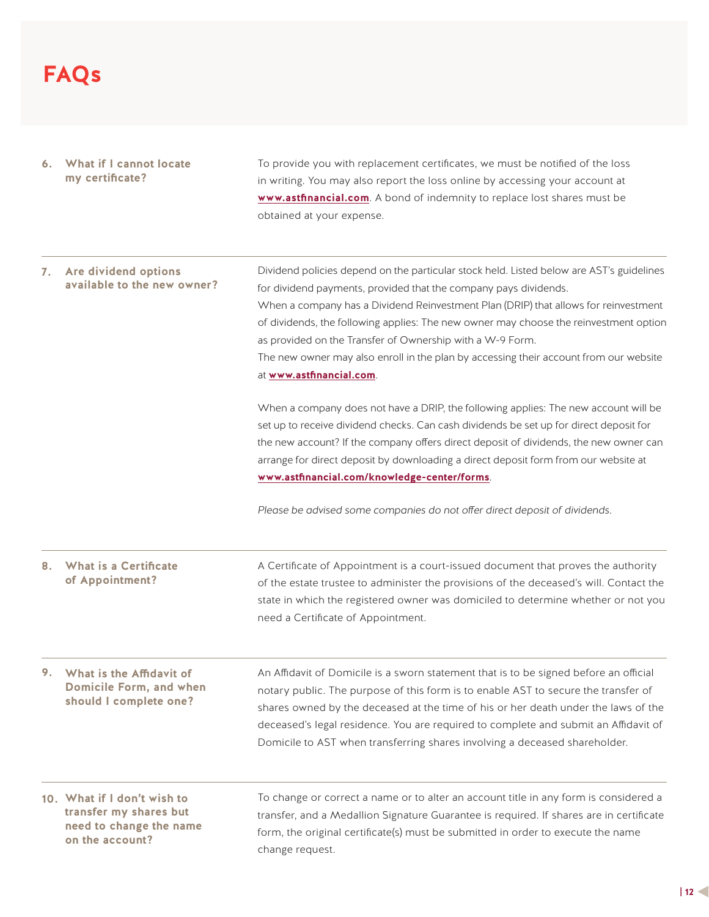# **FAQs**

## **What if I cannot locate 6. my certificate?** To provide you with replacement certificates, we must be notified of the loss in writing. You may also report the loss online by accessing your account at **www.astfinancial.com**. A bond of indemnity to replace lost shares must be obtained at your expense.

| 7. Are dividend options<br>available to the new owner?                                              | Dividend policies depend on the particular stock held. Listed below are AST's guidelines<br>for dividend payments, provided that the company pays dividends.<br>When a company has a Dividend Reinvestment Plan (DRIP) that allows for reinvestment<br>of dividends, the following applies: The new owner may choose the reinvestment option<br>as provided on the Transfer of Ownership with a W-9 Form.<br>The new owner may also enroll in the plan by accessing their account from our website<br>at www.astfinancial.com. |  |  |  |
|-----------------------------------------------------------------------------------------------------|--------------------------------------------------------------------------------------------------------------------------------------------------------------------------------------------------------------------------------------------------------------------------------------------------------------------------------------------------------------------------------------------------------------------------------------------------------------------------------------------------------------------------------|--|--|--|
|                                                                                                     | When a company does not have a DRIP, the following applies: The new account will be<br>set up to receive dividend checks. Can cash dividends be set up for direct deposit for<br>the new account? If the company offers direct deposit of dividends, the new owner can<br>arrange for direct deposit by downloading a direct deposit form from our website at<br>www.astfinancial.com/knowledge-center/forms.                                                                                                                  |  |  |  |
|                                                                                                     | Please be advised some companies do not offer direct deposit of dividends.                                                                                                                                                                                                                                                                                                                                                                                                                                                     |  |  |  |
| 8. What is a Certificate<br>of Appointment?                                                         | A Certificate of Appointment is a court-issued document that proves the authority<br>of the estate trustee to administer the provisions of the deceased's will. Contact the<br>state in which the registered owner was domiciled to determine whether or not you<br>need a Certificate of Appointment.                                                                                                                                                                                                                         |  |  |  |
| 9. What is the Affidavit of<br>Domicile Form, and when<br>should I complete one?                    | An Affidavit of Domicile is a sworn statement that is to be signed before an official<br>notary public. The purpose of this form is to enable AST to secure the transfer of<br>shares owned by the deceased at the time of his or her death under the laws of the<br>deceased's legal residence. You are required to complete and submit an Affidavit of<br>Domicile to AST when transferring shares involving a deceased shareholder.                                                                                         |  |  |  |
| 10. What if I don't wish to<br>transfer my shares but<br>need to change the name<br>on the account? | To change or correct a name or to alter an account title in any form is considered a<br>transfer, and a Medallion Signature Guarantee is required. If shares are in certificate<br>form, the original certificate(s) must be submitted in order to execute the name<br>change request.                                                                                                                                                                                                                                         |  |  |  |